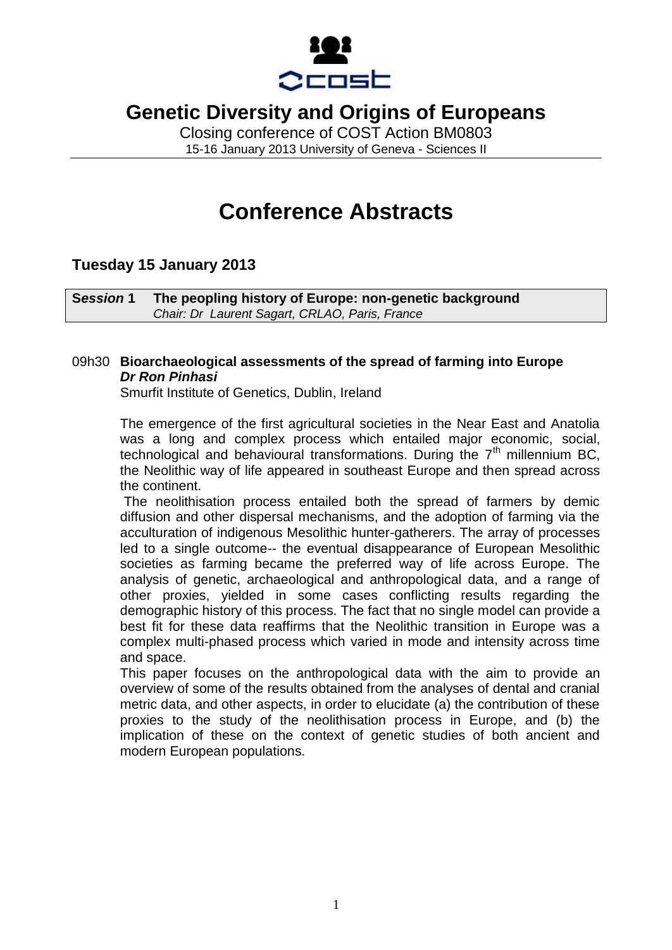

Closing conference of COST Action BM0803 15-16 January 2013 University of Geneva - Sciences II

# **Conference Abstracts**

### **Tuesday 15 January 2013**

**S***ession* **1 The peopling history of Europe: non-genetic background** *Chair: Dr Laurent Sagart, CRLAO, Paris, France*

### 09h30 **Bioarchaeological assessments of the spread of farming into Europe** *Dr Ron Pinhasi*

Smurfit Institute of Genetics, Dublin, Ireland

The emergence of the first agricultural societies in the Near East and Anatolia was a long and complex process which entailed major economic, social, technological and behavioural transformations. During the  $7<sup>th</sup>$  millennium BC, the Neolithic way of life appeared in southeast Europe and then spread across the continent.

The neolithisation process entailed both the spread of farmers by demic diffusion and other dispersal mechanisms, and the adoption of farming via the acculturation of indigenous Mesolithic hunter-gatherers. The array of processes led to a single outcome-- the eventual disappearance of European Mesolithic societies as farming became the preferred way of life across Europe. The analysis of genetic, archaeological and anthropological data, and a range of other proxies, yielded in some cases conflicting results regarding the demographic history of this process. The fact that no single model can provide a best fit for these data reaffirms that the Neolithic transition in Europe was a complex multi-phased process which varied in mode and intensity across time and space.

This paper focuses on the anthropological data with the aim to provide an overview of some of the results obtained from the analyses of dental and cranial metric data, and other aspects, in order to elucidate (a) the contribution of these proxies to the study of the neolithisation process in Europe, and (b) the implication of these on the context of genetic studies of both ancient and modern European populations.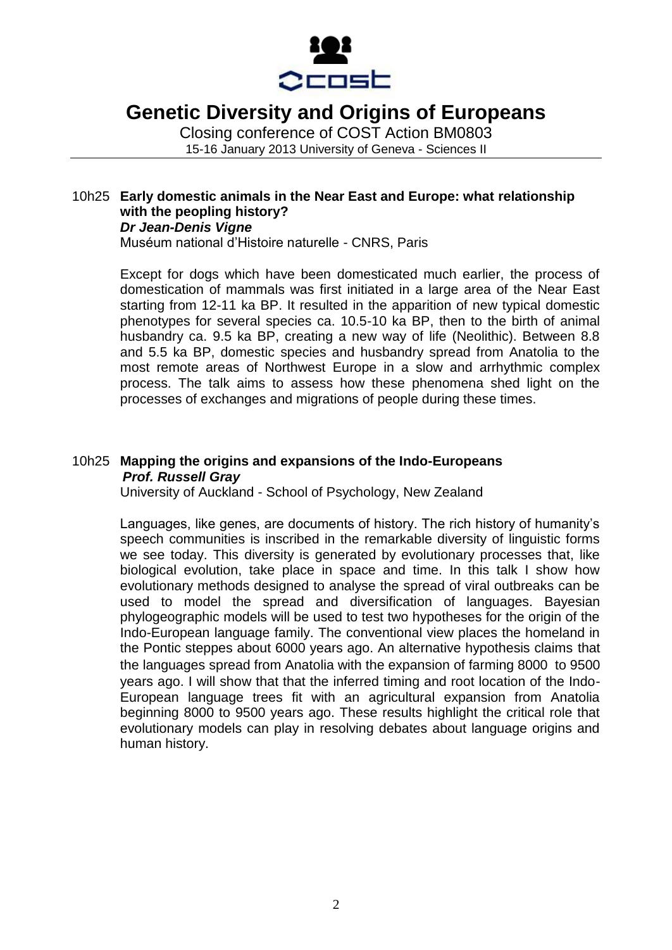

Closing conference of COST Action BM0803 15-16 January 2013 University of Geneva - Sciences II

### 10h25 **Early domestic animals in the Near East and Europe: what relationship with the peopling history?** *Dr Jean-Denis Vigne*

Muséum national d'Histoire naturelle - CNRS, Paris

Except for dogs which have been domesticated much earlier, the process of domestication of mammals was first initiated in a large area of the Near East starting from 12-11 ka BP. It resulted in the apparition of new typical domestic phenotypes for several species ca. 10.5-10 ka BP, then to the birth of animal husbandry ca. 9.5 ka BP, creating a new way of life (Neolithic). Between 8.8 and 5.5 ka BP, domestic species and husbandry spread from Anatolia to the most remote areas of Northwest Europe in a slow and arrhythmic complex process. The talk aims to assess how these phenomena shed light on the processes of exchanges and migrations of people during these times.

### 10h25 **Mapping the origins and expansions of the Indo-Europeans** *Prof. Russell Gray*

University of Auckland - School of Psychology, New Zealand

Languages, like genes, are documents of history. The rich history of humanity's speech communities is inscribed in the remarkable diversity of linguistic forms we see today. This diversity is generated by evolutionary processes that, like biological evolution, take place in space and time. In this talk I show how evolutionary methods designed to analyse the spread of viral outbreaks can be used to model the spread and diversification of languages. Bayesian phylogeographic models will be used to test two hypotheses for the origin of the Indo-European language family. The conventional view places the homeland in the Pontic steppes about 6000 years ago. An alternative hypothesis claims that the languages spread from Anatolia with the expansion of farming 8000 to 9500 years ago. I will show that that the inferred timing and root location of the Indo-European language trees fit with an agricultural expansion from Anatolia beginning 8000 to 9500 years ago. These results highlight the critical role that evolutionary models can play in resolving debates about language origins and human history.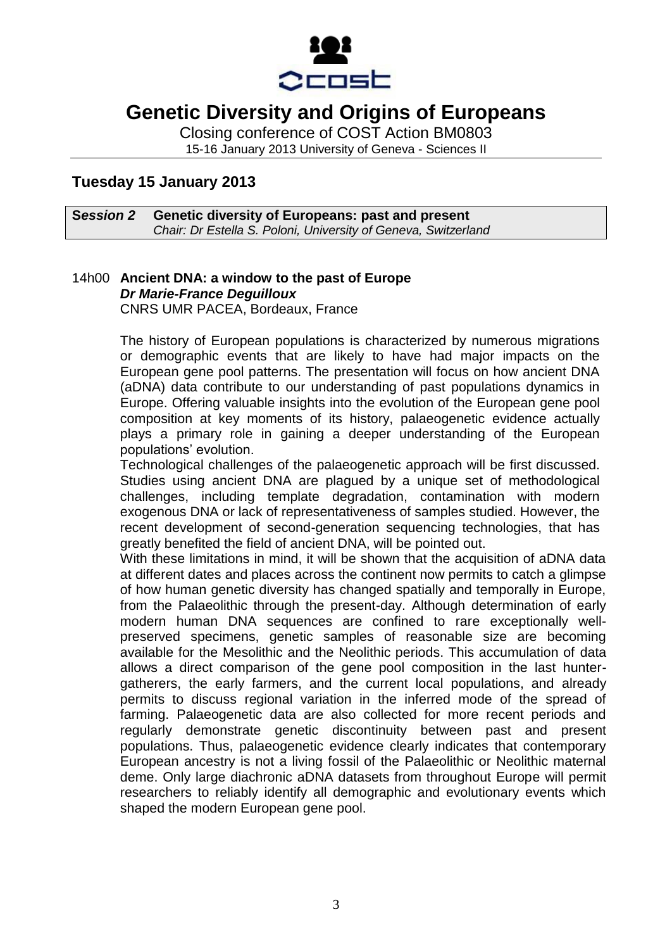

Closing conference of COST Action BM0803 15-16 January 2013 University of Geneva - Sciences II

### **Tuesday 15 January 2013**

#### **S***ession 2* **Genetic diversity of Europeans: past and present** *Chair: Dr Estella S. Poloni, University of Geneva, Switzerland*

### 14h00 **Ancient DNA: a window to the past of Europe** *Dr Marie-France Deguilloux* CNRS UMR PACEA, Bordeaux, France

The history of European populations is characterized by numerous migrations or demographic events that are likely to have had major impacts on the European gene pool patterns. The presentation will focus on how ancient DNA (aDNA) data contribute to our understanding of past populations dynamics in Europe. Offering valuable insights into the evolution of the European gene pool composition at key moments of its history, palaeogenetic evidence actually plays a primary role in gaining a deeper understanding of the European populations' evolution.

Technological challenges of the palaeogenetic approach will be first discussed. Studies using ancient DNA are plagued by a unique set of methodological challenges, including template degradation, contamination with modern exogenous DNA or lack of representativeness of samples studied. However, the recent development of second-generation sequencing technologies, that has greatly benefited the field of ancient DNA, will be pointed out.

With these limitations in mind, it will be shown that the acquisition of aDNA data at different dates and places across the continent now permits to catch a glimpse of how human genetic diversity has changed spatially and temporally in Europe, from the Palaeolithic through the present-day. Although determination of early modern human DNA sequences are confined to rare exceptionally wellpreserved specimens, genetic samples of reasonable size are becoming available for the Mesolithic and the Neolithic periods. This accumulation of data allows a direct comparison of the gene pool composition in the last huntergatherers, the early farmers, and the current local populations, and already permits to discuss regional variation in the inferred mode of the spread of farming. Palaeogenetic data are also collected for more recent periods and regularly demonstrate genetic discontinuity between past and present populations. Thus, palaeogenetic evidence clearly indicates that contemporary European ancestry is not a living fossil of the Palaeolithic or Neolithic maternal deme. Only large diachronic aDNA datasets from throughout Europe will permit researchers to reliably identify all demographic and evolutionary events which shaped the modern European gene pool.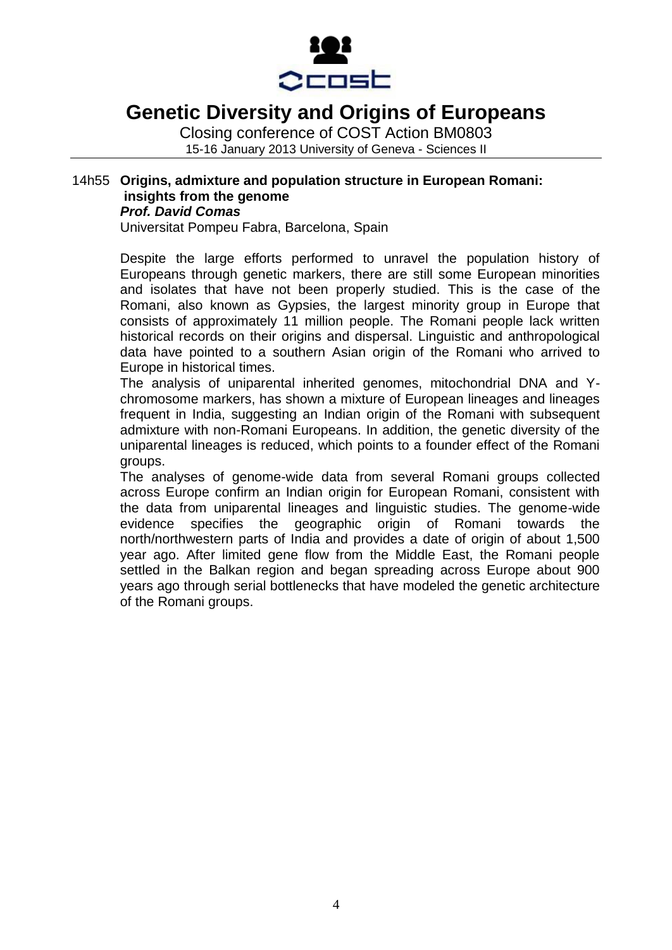

Closing conference of COST Action BM0803 15-16 January 2013 University of Geneva - Sciences II

### 14h55 **Origins, admixture and population structure in European Romani: insights from the genome** *Prof. David Comas*

Universitat Pompeu Fabra, Barcelona, Spain

Despite the large efforts performed to unravel the population history of Europeans through genetic markers, there are still some European minorities and isolates that have not been properly studied. This is the case of the Romani, also known as Gypsies, the largest minority group in Europe that consists of approximately 11 million people. The Romani people lack written historical records on their origins and dispersal. Linguistic and anthropological data have pointed to a southern Asian origin of the Romani who arrived to Europe in historical times.

The analysis of uniparental inherited genomes, mitochondrial DNA and Ychromosome markers, has shown a mixture of European lineages and lineages frequent in India, suggesting an Indian origin of the Romani with subsequent admixture with non-Romani Europeans. In addition, the genetic diversity of the uniparental lineages is reduced, which points to a founder effect of the Romani groups.

The analyses of genome-wide data from several Romani groups collected across Europe confirm an Indian origin for European Romani, consistent with the data from uniparental lineages and linguistic studies. The genome-wide evidence specifies the geographic origin of Romani towards the north/northwestern parts of India and provides a date of origin of about 1,500 year ago. After limited gene flow from the Middle East, the Romani people settled in the Balkan region and began spreading across Europe about 900 years ago through serial bottlenecks that have modeled the genetic architecture of the Romani groups.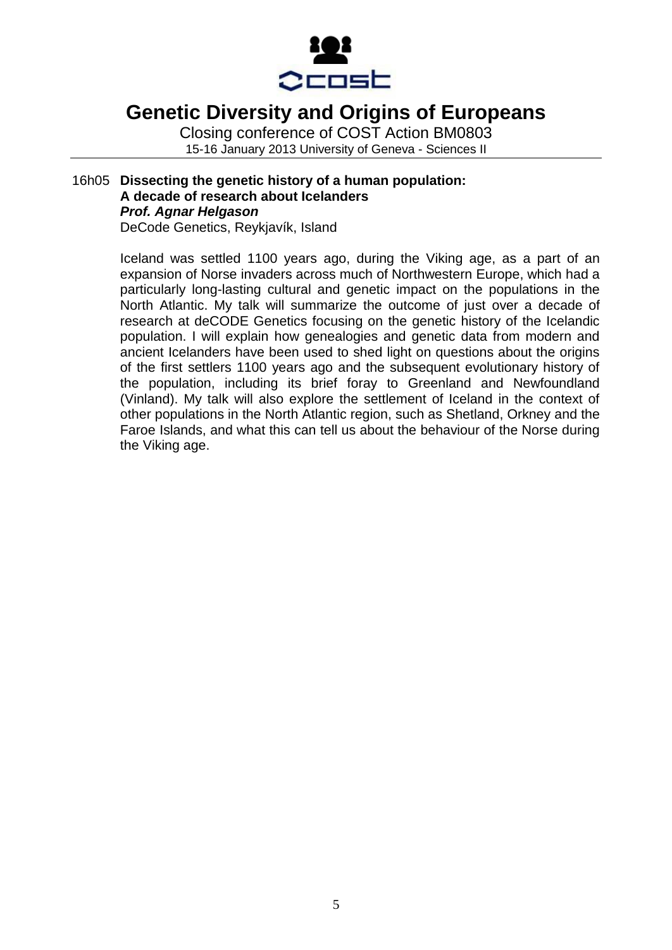

Closing conference of COST Action BM0803 15-16 January 2013 University of Geneva - Sciences II

#### 16h05 **Dissecting the genetic history of a human population: A decade of research about Icelanders** *Prof. Agnar Helgason* DeCode Genetics, Reykjavík, Island

Iceland was settled 1100 years ago, during the Viking age, as a part of an expansion of Norse invaders across much of Northwestern Europe, which had a particularly long-lasting cultural and genetic impact on the populations in the North Atlantic. My talk will summarize the outcome of just over a decade of research at deCODE Genetics focusing on the genetic history of the Icelandic population. I will explain how genealogies and genetic data from modern and ancient Icelanders have been used to shed light on questions about the origins of the first settlers 1100 years ago and the subsequent evolutionary history of the population, including its brief foray to Greenland and Newfoundland (Vinland). My talk will also explore the settlement of Iceland in the context of other populations in the North Atlantic region, such as Shetland, Orkney and the Faroe Islands, and what this can tell us about the behaviour of the Norse during the Viking age.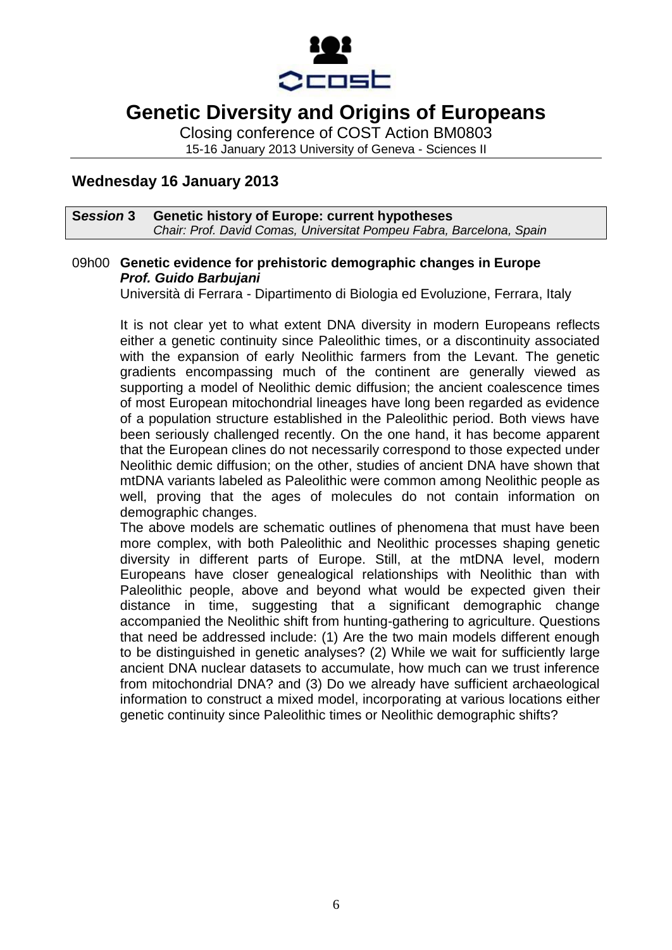

Closing conference of COST Action BM0803 15-16 January 2013 University of Geneva - Sciences II

**Wednesday 16 January 2013**

#### **S***ession* **3 Genetic history of Europe: current hypotheses** *Chair: Prof. David Comas, Universitat Pompeu Fabra, Barcelona, Spain*

### 09h00 **Genetic evidence for prehistoric demographic changes in Europe** *Prof. Guido Barbujani*

Università di Ferrara - Dipartimento di Biologia ed Evoluzione, Ferrara, Italy

It is not clear yet to what extent DNA diversity in modern Europeans reflects either a genetic continuity since Paleolithic times, or a discontinuity associated with the expansion of early Neolithic farmers from the Levant. The genetic gradients encompassing much of the continent are generally viewed as supporting a model of Neolithic demic diffusion; the ancient coalescence times of most European mitochondrial lineages have long been regarded as evidence of a population structure established in the Paleolithic period. Both views have been seriously challenged recently. On the one hand, it has become apparent that the European clines do not necessarily correspond to those expected under Neolithic demic diffusion; on the other, studies of ancient DNA have shown that mtDNA variants labeled as Paleolithic were common among Neolithic people as well, proving that the ages of molecules do not contain information on demographic changes.

The above models are schematic outlines of phenomena that must have been more complex, with both Paleolithic and Neolithic processes shaping genetic diversity in different parts of Europe. Still, at the mtDNA level, modern Europeans have closer genealogical relationships with Neolithic than with Paleolithic people, above and beyond what would be expected given their distance in time, suggesting that a significant demographic change accompanied the Neolithic shift from hunting-gathering to agriculture. Questions that need be addressed include: (1) Are the two main models different enough to be distinguished in genetic analyses? (2) While we wait for sufficiently large ancient DNA nuclear datasets to accumulate, how much can we trust inference from mitochondrial DNA? and (3) Do we already have sufficient archaeological information to construct a mixed model, incorporating at various locations either genetic continuity since Paleolithic times or Neolithic demographic shifts?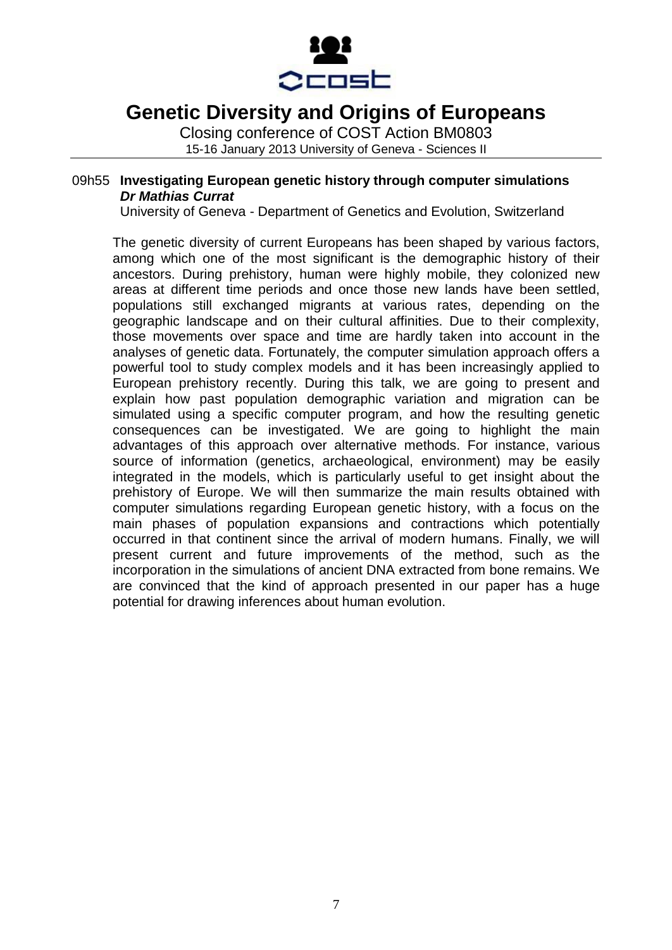

Closing conference of COST Action BM0803 15-16 January 2013 University of Geneva - Sciences II

#### 09h55 **Investigating European genetic history through computer simulations** *Dr Mathias Currat*

University of Geneva - Department of Genetics and Evolution, Switzerland

The genetic diversity of current Europeans has been shaped by various factors, among which one of the most significant is the demographic history of their ancestors. During prehistory, human were highly mobile, they colonized new areas at different time periods and once those new lands have been settled, populations still exchanged migrants at various rates, depending on the geographic landscape and on their cultural affinities. Due to their complexity, those movements over space and time are hardly taken into account in the analyses of genetic data. Fortunately, the computer simulation approach offers a powerful tool to study complex models and it has been increasingly applied to European prehistory recently. During this talk, we are going to present and explain how past population demographic variation and migration can be simulated using a specific computer program, and how the resulting genetic consequences can be investigated. We are going to highlight the main advantages of this approach over alternative methods. For instance, various source of information (genetics, archaeological, environment) may be easily integrated in the models, which is particularly useful to get insight about the prehistory of Europe. We will then summarize the main results obtained with computer simulations regarding European genetic history, with a focus on the main phases of population expansions and contractions which potentially occurred in that continent since the arrival of modern humans. Finally, we will present current and future improvements of the method, such as the incorporation in the simulations of ancient DNA extracted from bone remains. We are convinced that the kind of approach presented in our paper has a huge potential for drawing inferences about human evolution.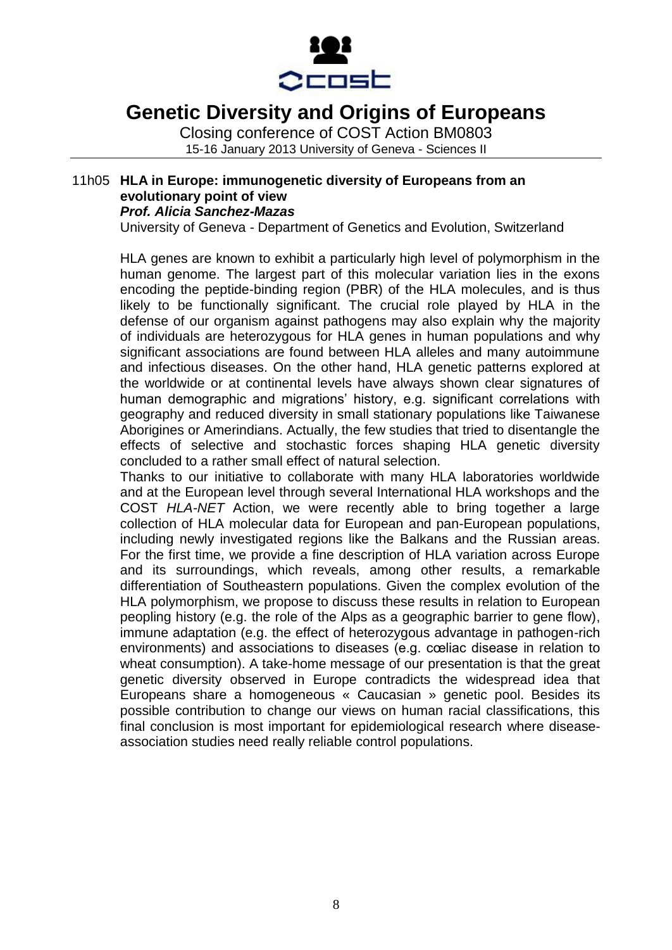

Closing conference of COST Action BM0803 15-16 January 2013 University of Geneva - Sciences II

#### 11h05 **HLA in Europe: immunogenetic diversity of Europeans from an evolutionary point of view** *Prof. Alicia Sanchez-Mazas*

University of Geneva - Department of Genetics and Evolution, Switzerland

HLA genes are known to exhibit a particularly high level of polymorphism in the human genome. The largest part of this molecular variation lies in the exons encoding the peptide-binding region (PBR) of the HLA molecules, and is thus likely to be functionally significant. The crucial role played by HLA in the defense of our organism against pathogens may also explain why the majority of individuals are heterozygous for HLA genes in human populations and why significant associations are found between HLA alleles and many autoimmune and infectious diseases. On the other hand, HLA genetic patterns explored at the worldwide or at continental levels have always shown clear signatures of human demographic and migrations' history, e.g. significant correlations with geography and reduced diversity in small stationary populations like Taiwanese Aborigines or Amerindians. Actually, the few studies that tried to disentangle the effects of selective and stochastic forces shaping HLA genetic diversity concluded to a rather small effect of natural selection.

Thanks to our initiative to collaborate with many HLA laboratories worldwide and at the European level through several International HLA workshops and the COST *HLA-NET* Action, we were recently able to bring together a large collection of HLA molecular data for European and pan-European populations, including newly investigated regions like the Balkans and the Russian areas. For the first time, we provide a fine description of HLA variation across Europe and its surroundings, which reveals, among other results, a remarkable differentiation of Southeastern populations. Given the complex evolution of the HLA polymorphism, we propose to discuss these results in relation to European peopling history (e.g. the role of the Alps as a geographic barrier to gene flow), immune adaptation (e.g. the effect of heterozygous advantage in pathogen-rich environments) and associations to diseases (e.g. cœliac disease in relation to wheat consumption). A take-home message of our presentation is that the great genetic diversity observed in Europe contradicts the widespread idea that Europeans share a homogeneous « Caucasian » genetic pool. Besides its possible contribution to change our views on human racial classifications, this final conclusion is most important for epidemiological research where diseaseassociation studies need really reliable control populations.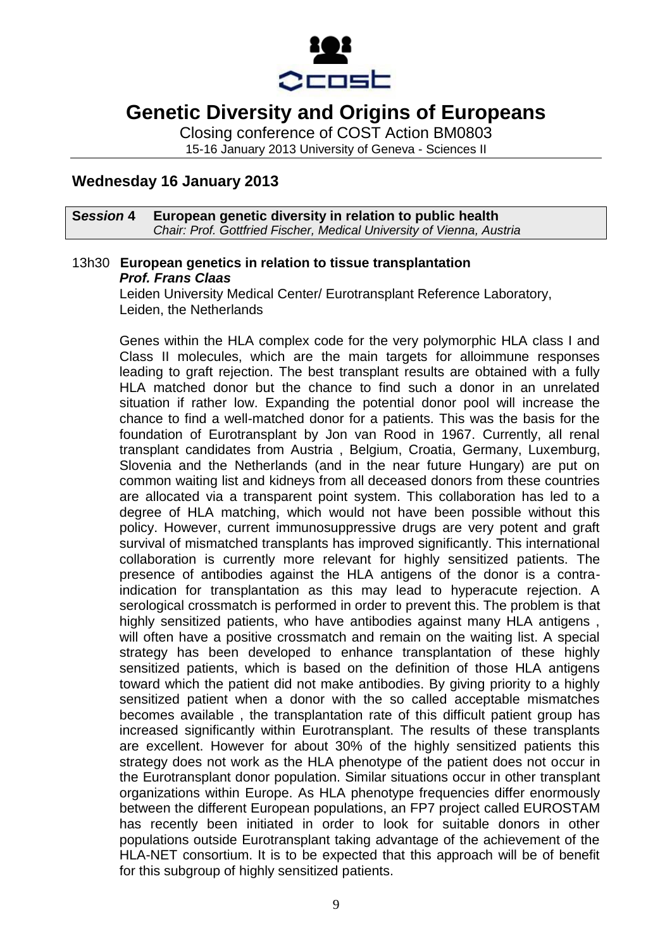

Closing conference of COST Action BM0803 15-16 January 2013 University of Geneva - Sciences II

**Wednesday 16 January 2013**

#### **S***ession* **4 European genetic diversity in relation to public health** *Chair: Prof. Gottfried Fischer, Medical University of Vienna, Austria*

### 13h30 **European genetics in relation to tissue transplantation** *Prof. Frans Claas*

Leiden University Medical Center/ Eurotransplant Reference Laboratory, Leiden, the Netherlands

Genes within the HLA complex code for the very polymorphic HLA class I and Class II molecules, which are the main targets for alloimmune responses leading to graft rejection. The best transplant results are obtained with a fully HLA matched donor but the chance to find such a donor in an unrelated situation if rather low. Expanding the potential donor pool will increase the chance to find a well-matched donor for a patients. This was the basis for the foundation of Eurotransplant by Jon van Rood in 1967. Currently, all renal transplant candidates from Austria , Belgium, Croatia, Germany, Luxemburg, Slovenia and the Netherlands (and in the near future Hungary) are put on common waiting list and kidneys from all deceased donors from these countries are allocated via a transparent point system. This collaboration has led to a degree of HLA matching, which would not have been possible without this policy. However, current immunosuppressive drugs are very potent and graft survival of mismatched transplants has improved significantly. This international collaboration is currently more relevant for highly sensitized patients. The presence of antibodies against the HLA antigens of the donor is a contraindication for transplantation as this may lead to hyperacute rejection. A serological crossmatch is performed in order to prevent this. The problem is that highly sensitized patients, who have antibodies against many HLA antigens, will often have a positive crossmatch and remain on the waiting list. A special strategy has been developed to enhance transplantation of these highly sensitized patients, which is based on the definition of those HLA antigens toward which the patient did not make antibodies. By giving priority to a highly sensitized patient when a donor with the so called acceptable mismatches becomes available , the transplantation rate of this difficult patient group has increased significantly within Eurotransplant. The results of these transplants are excellent. However for about 30% of the highly sensitized patients this strategy does not work as the HLA phenotype of the patient does not occur in the Eurotransplant donor population. Similar situations occur in other transplant organizations within Europe. As HLA phenotype frequencies differ enormously between the different European populations, an FP7 project called EUROSTAM has recently been initiated in order to look for suitable donors in other populations outside Eurotransplant taking advantage of the achievement of the HLA-NET consortium. It is to be expected that this approach will be of benefit for this subgroup of highly sensitized patients.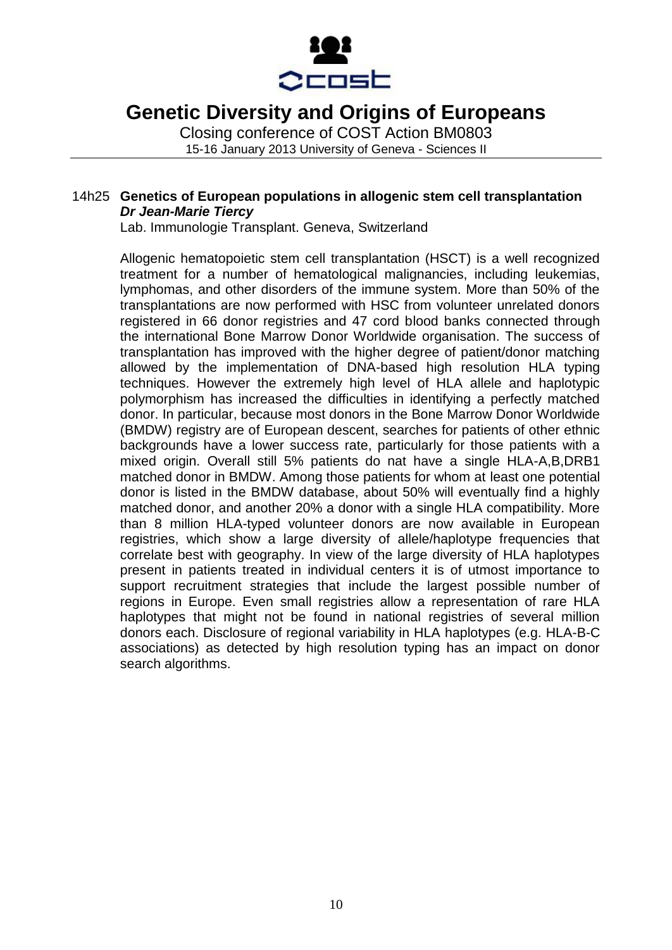

Closing conference of COST Action BM0803 15-16 January 2013 University of Geneva - Sciences II

### 14h25 **Genetics of European populations in allogenic stem cell transplantation** *Dr Jean-Marie Tiercy*

Lab. Immunologie Transplant. Geneva, Switzerland

Allogenic hematopoietic stem cell transplantation (HSCT) is a well recognized treatment for a number of hematological malignancies, including leukemias, lymphomas, and other disorders of the immune system. More than 50% of the transplantations are now performed with HSC from volunteer unrelated donors registered in 66 donor registries and 47 cord blood banks connected through the international Bone Marrow Donor Worldwide organisation. The success of transplantation has improved with the higher degree of patient/donor matching allowed by the implementation of DNA-based high resolution HLA typing techniques. However the extremely high level of HLA allele and haplotypic polymorphism has increased the difficulties in identifying a perfectly matched donor. In particular, because most donors in the Bone Marrow Donor Worldwide (BMDW) registry are of European descent, searches for patients of other ethnic backgrounds have a lower success rate, particularly for those patients with a mixed origin. Overall still 5% patients do nat have a single HLA-A,B,DRB1 matched donor in BMDW. Among those patients for whom at least one potential donor is listed in the BMDW database, about 50% will eventually find a highly matched donor, and another 20% a donor with a single HLA compatibility. More than 8 million HLA-typed volunteer donors are now available in European registries, which show a large diversity of allele/haplotype frequencies that correlate best with geography. In view of the large diversity of HLA haplotypes present in patients treated in individual centers it is of utmost importance to support recruitment strategies that include the largest possible number of regions in Europe. Even small registries allow a representation of rare HLA haplotypes that might not be found in national registries of several million donors each. Disclosure of regional variability in HLA haplotypes (e.g. HLA-B-C associations) as detected by high resolution typing has an impact on donor search algorithms.